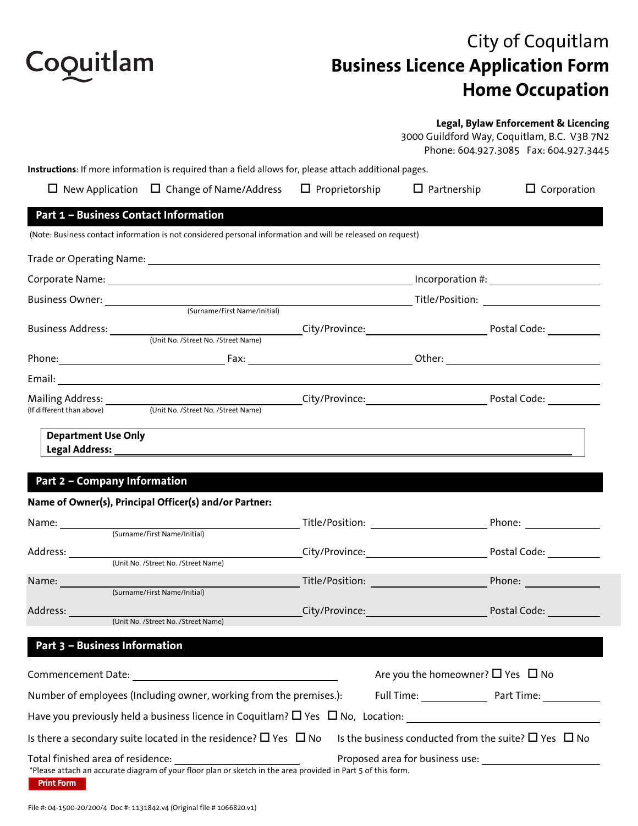

## City of Coquitlam **Business Licence Application Form Home Occupation**

### **Legal, Bylaw Enforcement & Licencing**

3000 Guildford Way, Coquitlam, B.C. V3B 7N2

|                                                        |                                                                                                              |                                                                                                                                                                                                                                | 3000 Guildford Way, Coquitiam, B.C. V3B /N2<br>Phone: 604.927.3085 Fax: 604.927.3445 |
|--------------------------------------------------------|--------------------------------------------------------------------------------------------------------------|--------------------------------------------------------------------------------------------------------------------------------------------------------------------------------------------------------------------------------|--------------------------------------------------------------------------------------|
|                                                        | Instructions: If more information is required than a field allows for, please attach additional pages.       |                                                                                                                                                                                                                                |                                                                                      |
|                                                        | $\Box$ New Application $\Box$ Change of Name/Address $\Box$ Proprietorship                                   | $\Box$ Partnership                                                                                                                                                                                                             | $\Box$ Corporation                                                                   |
| Part 1 - Business Contact Information                  |                                                                                                              |                                                                                                                                                                                                                                |                                                                                      |
|                                                        | (Note: Business contact information is not considered personal information and will be released on request)  |                                                                                                                                                                                                                                |                                                                                      |
|                                                        |                                                                                                              |                                                                                                                                                                                                                                |                                                                                      |
|                                                        |                                                                                                              |                                                                                                                                                                                                                                |                                                                                      |
|                                                        |                                                                                                              |                                                                                                                                                                                                                                |                                                                                      |
|                                                        |                                                                                                              |                                                                                                                                                                                                                                |                                                                                      |
|                                                        |                                                                                                              |                                                                                                                                                                                                                                |                                                                                      |
|                                                        |                                                                                                              |                                                                                                                                                                                                                                |                                                                                      |
|                                                        |                                                                                                              |                                                                                                                                                                                                                                |                                                                                      |
| Mailing Address: ________<br>(If different than above) | (Unit No. /Street No. /Street Name)                                                                          |                                                                                                                                                                                                                                |                                                                                      |
| <b>Part 2 - Company Information</b>                    | Name of Owner(s), Principal Officer(s) and/or Partner:                                                       |                                                                                                                                                                                                                                |                                                                                      |
|                                                        | Name: <u>Community (Surname/First Name/Initial)</u>                                                          | Title/Position: National Property of the Contract of the Contract of the Contract of the Contract of the Contract of the Contract of the Contract of the Contract of the Contract of the Contract of the Contract of the Contr |                                                                                      |
|                                                        |                                                                                                              | City/Province: Example 2014                                                                                                                                                                                                    | Postal Code: <u>New York Band</u>                                                    |
|                                                        | (Unit No. /Street No. /Street Name)                                                                          |                                                                                                                                                                                                                                |                                                                                      |
|                                                        | (Surname/First Name/Initial)                                                                                 | Title/Position: Title/Position:                                                                                                                                                                                                |                                                                                      |
| Address:                                               | (Unit No. /Street No. /Street Name)                                                                          | City/Province: All and the City of the City of the City                                                                                                                                                                        | Postal Code:                                                                         |
|                                                        |                                                                                                              |                                                                                                                                                                                                                                |                                                                                      |
| Part 3 - Business Information                          |                                                                                                              |                                                                                                                                                                                                                                |                                                                                      |
|                                                        |                                                                                                              | Are you the homeowner? $\Box$ Yes $\Box$ No                                                                                                                                                                                    |                                                                                      |
|                                                        | Number of employees (Including owner, working from the premises.):                                           |                                                                                                                                                                                                                                | Full Time: Part Time: Part Time:                                                     |
|                                                        |                                                                                                              |                                                                                                                                                                                                                                |                                                                                      |
|                                                        | Is there a secondary suite located in the residence? $\Box$ Yes $\Box$ No                                    | Is the business conducted from the suite? $\Box$ Yes $\Box$ No                                                                                                                                                                 |                                                                                      |
| Total finished area of residence:                      | *Please attach an accurate diagram of your floor plan or sketch in the area provided in Part 5 of this form. |                                                                                                                                                                                                                                |                                                                                      |

**Print Form**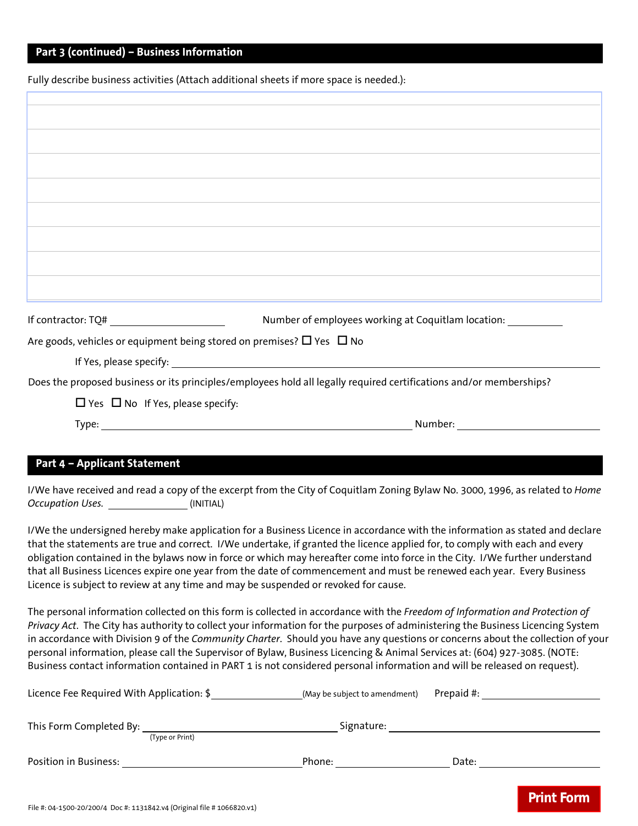### **Part 3 (continued) – Business Information**

Fully describe business activities (Attach additional sheets if more space is needed.):

| If contractor: $TQ#$ _________________________ | Number of employees working at Coquitlam location:                                                                                                                                                                             |
|------------------------------------------------|--------------------------------------------------------------------------------------------------------------------------------------------------------------------------------------------------------------------------------|
|                                                | Are goods, vehicles or equipment being stored on premises? $\Box$ Yes $\Box$ No                                                                                                                                                |
|                                                | If Yes, please specify: The state of the state of the state of the state of the state of the state of the state of the state of the state of the state of the state of the state of the state of the state of the state of the |
|                                                | Does the proposed business or its principles/employees hold all legally required certifications and/or memberships?                                                                                                            |
| $\Box$ Yes $\Box$ No If Yes, please specify:   |                                                                                                                                                                                                                                |
|                                                | Number: www.com/                                                                                                                                                                                                               |
|                                                |                                                                                                                                                                                                                                |

I/We have received and read a copy of the excerpt from the City of Coquitlam Zoning Bylaw No. 3000, 1996, as related to *Home Occupation Uses.* (INITIAL)

I/We the undersigned hereby make application for a Business Licence in accordance with the information as stated and declare that the statements are true and correct. I/We undertake, if granted the licence applied for, to comply with each and every obligation contained in the bylaws now in force or which may hereafter come into force in the City. I/We further understand that all Business Licences expire one year from the date of commencement and must be renewed each year. Every Business Licence is subject to review at any time and may be suspended or revoked for cause.

The personal information collected on this form is collected in accordance with the *Freedom of Information and Protection of Privacy Act*. The City has authority to collect your information for the purposes of administering the Business Licencing System in accordance with Division 9 of the *Community Charter*. Should you have any questions or concerns about the collection of your personal information, please call the Supervisor of Bylaw, Business Licencing & Animal Services at: (604) 927-3085. (NOTE: Business contact information contained in PART 1 is not considered personal information and will be released on request).

| Licence Fee Required With Application: \$                                        | (May be subject to amendment) | Prepaid #: |                   |
|----------------------------------------------------------------------------------|-------------------------------|------------|-------------------|
| This Form Completed By:<br>(Type or Print)                                       | Signature:                    |            |                   |
| Position in Business:                                                            | Phone:                        | Date:      |                   |
| $Fil_6$ #, 04,4500,30/300/4, Dec #,4434943 \\ 4/0 siginal $fil_6$ #4066830 \\ 4) |                               |            | <b>Print Form</b> |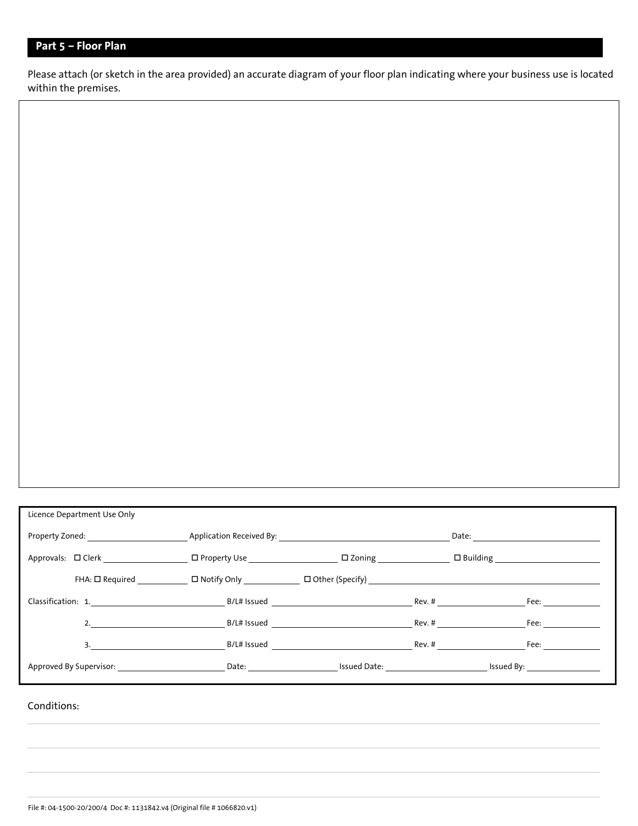### **Part 5 – Floor Plan**

Please attach (or sketch in the area provided) an accurate diagram of your floor plan indicating where your business use is located within the premises.

| Licence Department Use Only                                                                                                                                                                                                    |                                                                                                                                                                                                                                |  |                                                                                                                                                                                                                                |  |
|--------------------------------------------------------------------------------------------------------------------------------------------------------------------------------------------------------------------------------|--------------------------------------------------------------------------------------------------------------------------------------------------------------------------------------------------------------------------------|--|--------------------------------------------------------------------------------------------------------------------------------------------------------------------------------------------------------------------------------|--|
| Property Zoned: example and application Received By: example and application Received By:                                                                                                                                      |                                                                                                                                                                                                                                |  |                                                                                                                                                                                                                                |  |
|                                                                                                                                                                                                                                |                                                                                                                                                                                                                                |  |                                                                                                                                                                                                                                |  |
|                                                                                                                                                                                                                                | FHA: □ Required _____________ □ Notify Only __________ □ Other (Specify) __________________________                                                                                                                            |  |                                                                                                                                                                                                                                |  |
| Classification: 1. Note as a series of the series of B/L# Issued New Section 2014 and 2014 and 2014 and 2014 and 2014 and 2014 and 2014 and 2014 and 2014 and 2014 and 2014 and 2014 and 2014 and 2014 and 2014 and 2014 and 2 |                                                                                                                                                                                                                                |  | Fee: $\_\_$                                                                                                                                                                                                                    |  |
|                                                                                                                                                                                                                                | 2. B/L# Issued BOLAR Rev. #                                                                                                                                                                                                    |  | Fee: a controller to the controller of the controller of the controller of the controller of the controller of the controller of the controller of the controller of the controller of the controller of the controller of the |  |
|                                                                                                                                                                                                                                | $B/L#$ issued Biggs and the Biggs and the Biggs and the Biggs and the Biggs and the Biggs and the Biggs and the Biggs and the Biggs and the Biggs and the Biggs and the Biggs and the Biggs and the Biggs and the Biggs and th |  |                                                                                                                                                                                                                                |  |
| Approved By Supervisor: The Contract Contract Date: Contract Contract Issued Date: The Contract Issued By:                                                                                                                     |                                                                                                                                                                                                                                |  |                                                                                                                                                                                                                                |  |